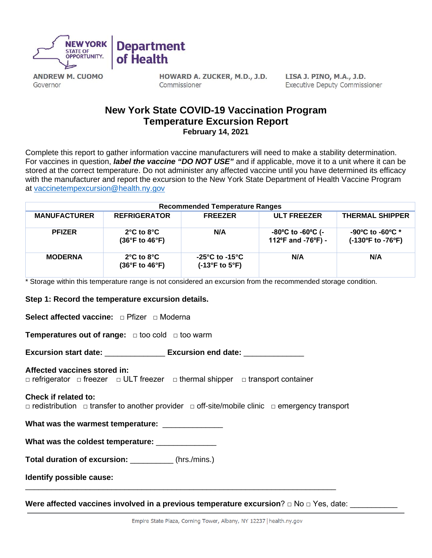

**ANDREW M. CUOMO** Governor

HOWARD A. ZUCKER, M.D., J.D. Commissioner

LISA J. PINO, M.A., J.D. **Executive Deputy Commissioner** 

# **New York State COVID-19 Vaccination Program Temperature Excursion Report February 14, 2021**

Complete this report to gather information vaccine manufacturers will need to make a stability determination. For vaccines in question, *label the vaccine "DO NOT USE"* and if applicable, move it to a unit where it can be stored at the correct temperature. Do not administer any affected vaccine until you have determined its efficacy with the manufacturer and report the excursion to the New York State Department of Health Vaccine Program at [vaccinetempexcursion@health.ny.gov](mailto:vaccinetempexcursion@health.ny.gov)

| <b>Recommended Temperature Ranges</b> |                                                                           |                                                    |                                                                                 |                                                           |  |  |
|---------------------------------------|---------------------------------------------------------------------------|----------------------------------------------------|---------------------------------------------------------------------------------|-----------------------------------------------------------|--|--|
| <b>MANUFACTURER</b>                   | <b>REFRIGERATOR</b>                                                       | <b>FREEZER</b>                                     | <b>ULT FREEZER</b>                                                              | <b>THERMAL SHIPPER</b>                                    |  |  |
| <b>PFIZER</b>                         | $2^{\circ}$ C to $8^{\circ}$ C<br>$(36^{\circ}F \text{ to } 46^{\circ}F)$ | N/A                                                | $-80^{\circ}$ C to $-60^{\circ}$ C (-<br>112 $\degree$ F and -76 $\degree$ F) - | $-90^{\circ}$ C to $-60^{\circ}$ C *<br>(-130°F to -76°F) |  |  |
| <b>MODERNA</b>                        | $2^{\circ}$ C to $8^{\circ}$ C<br>$(36^{\circ}F \text{ to } 46^{\circ}F)$ | -25°C to -15°C<br>$(-13^{\circ}F$ to $5^{\circ}F)$ | N/A                                                                             | N/A                                                       |  |  |

\* Storage within this temperature range is not considered an excursion from the recommended storage condition.

## **Step 1: Record the temperature excursion details.**

**Select affected vaccine:** □ Pfizer □ Moderna

**Temperatures out of range:**  $\Box$  too cold  $\Box$  too warm

**Excursion start date:** \_\_\_\_\_\_\_\_\_\_\_\_\_\_ **Excursion end date:** \_\_\_\_\_\_\_\_\_\_\_\_\_\_

## **Affected vaccines stored in:**

□ refrigerator □ freezer □ ULT freezer □ thermal shipper □ transport container

#### **Check if related to:**

□ redistribution □ transfer to another provider □ off-site/mobile clinic □ emergency transport

**What was the warmest temperature:** \_\_\_\_\_\_\_\_\_\_\_\_\_\_

| What was the coldest temperature: |  |
|-----------------------------------|--|
|-----------------------------------|--|

**Total duration of excursion:** (hrs./mins.)

**Identify possible cause:** 

**Were affected vaccines involved in a previous temperature excursion? □ No □ Yes, date:** 

\_\_\_\_\_\_\_\_\_\_\_\_\_\_\_\_\_\_\_\_\_\_\_\_\_\_\_\_\_\_\_\_\_\_\_\_\_\_\_\_\_\_\_\_\_\_\_\_\_\_\_\_\_\_\_\_\_\_\_\_\_\_\_\_\_\_\_\_\_\_\_\_